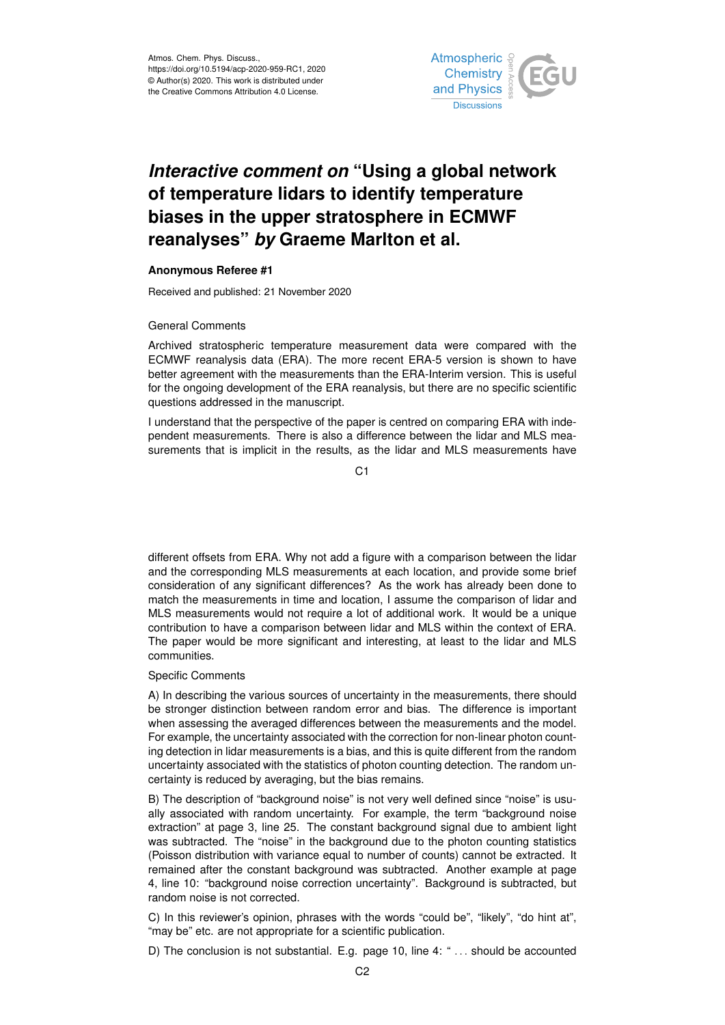

## *Interactive comment on* **"Using a global network of temperature lidars to identify temperature biases in the upper stratosphere in ECMWF reanalyses"** *by* **Graeme Marlton et al.**

## **Anonymous Referee #1**

Received and published: 21 November 2020

## General Comments

Archived stratospheric temperature measurement data were compared with the ECMWF reanalysis data (ERA). The more recent ERA-5 version is shown to have better agreement with the measurements than the ERA-Interim version. This is useful for the ongoing development of the ERA reanalysis, but there are no specific scientific questions addressed in the manuscript.

I understand that the perspective of the paper is centred on comparing ERA with independent measurements. There is also a difference between the lidar and MLS measurements that is implicit in the results, as the lidar and MLS measurements have

C1

different offsets from ERA. Why not add a figure with a comparison between the lidar and the corresponding MLS measurements at each location, and provide some brief consideration of any significant differences? As the work has already been done to match the measurements in time and location, I assume the comparison of lidar and MLS measurements would not require a lot of additional work. It would be a unique contribution to have a comparison between lidar and MLS within the context of ERA. The paper would be more significant and interesting, at least to the lidar and MLS communities.

## Specific Comments

A) In describing the various sources of uncertainty in the measurements, there should be stronger distinction between random error and bias. The difference is important when assessing the averaged differences between the measurements and the model. For example, the uncertainty associated with the correction for non-linear photon counting detection in lidar measurements is a bias, and this is quite different from the random uncertainty associated with the statistics of photon counting detection. The random uncertainty is reduced by averaging, but the bias remains.

B) The description of "background noise" is not very well defined since "noise" is usually associated with random uncertainty. For example, the term "background noise extraction" at page 3, line 25. The constant background signal due to ambient light was subtracted. The "noise" in the background due to the photon counting statistics (Poisson distribution with variance equal to number of counts) cannot be extracted. It remained after the constant background was subtracted. Another example at page 4, line 10: "background noise correction uncertainty". Background is subtracted, but random noise is not corrected.

C) In this reviewer's opinion, phrases with the words "could be", "likely", "do hint at", "may be" etc. are not appropriate for a scientific publication.

D) The conclusion is not substantial. E.g. page 10, line 4: " ... should be accounted